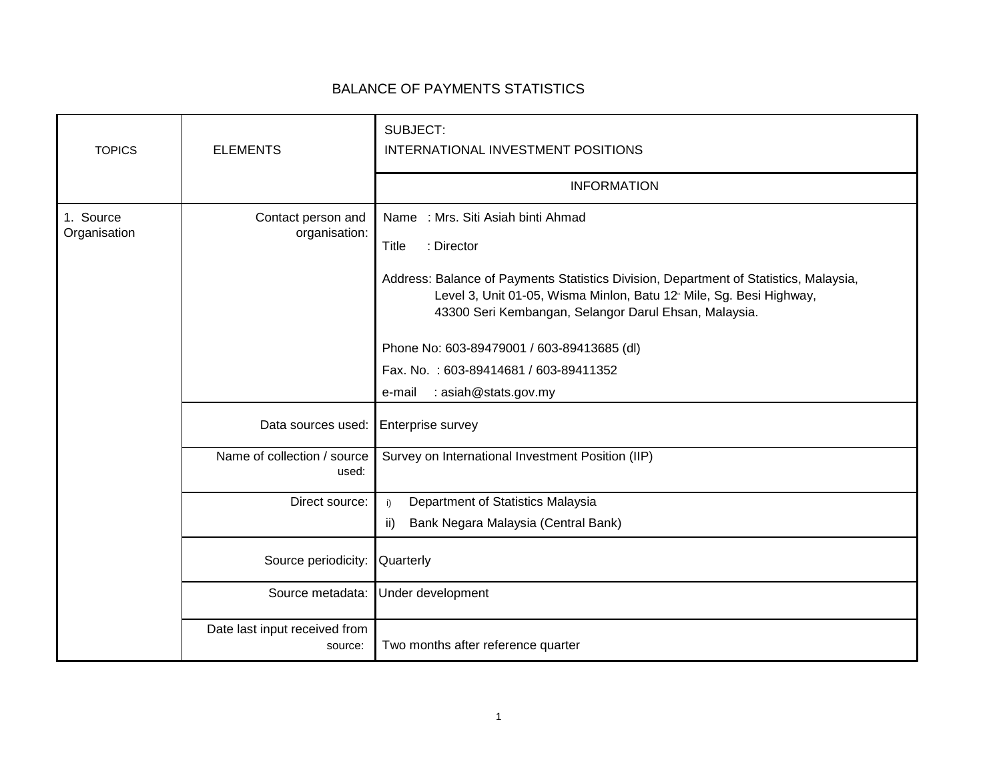## BALANCE OF PAYMENTS STATISTICS

| <b>TOPICS</b>             | <b>ELEMENTS</b>                          | SUBJECT:<br>INTERNATIONAL INVESTMENT POSITIONS                                                                                                                                                                                                                                                                                                                                                                         |
|---------------------------|------------------------------------------|------------------------------------------------------------------------------------------------------------------------------------------------------------------------------------------------------------------------------------------------------------------------------------------------------------------------------------------------------------------------------------------------------------------------|
|                           |                                          | <b>INFORMATION</b>                                                                                                                                                                                                                                                                                                                                                                                                     |
| 1. Source<br>Organisation | Contact person and<br>organisation:      | Name: Mrs. Siti Asiah binti Ahmad<br>: Director<br>Title<br>Address: Balance of Payments Statistics Division, Department of Statistics, Malaysia,<br>Level 3, Unit 01-05, Wisma Minlon, Batu 12 <sup>®</sup> Mile, Sg. Besi Highway,<br>43300 Seri Kembangan, Selangor Darul Ehsan, Malaysia.<br>Phone No: 603-89479001 / 603-89413685 (dl)<br>Fax. No.: 603-89414681 / 603-89411352<br>: asiah@stats.gov.my<br>e-mail |
|                           | Data sources used:                       | <b>Enterprise survey</b>                                                                                                                                                                                                                                                                                                                                                                                               |
|                           | Name of collection / source<br>used:     | Survey on International Investment Position (IIP)                                                                                                                                                                                                                                                                                                                                                                      |
|                           | Direct source:                           | Department of Statistics Malaysia<br>i)<br>Bank Negara Malaysia (Central Bank)<br>ii)                                                                                                                                                                                                                                                                                                                                  |
|                           | Source periodicity:                      | Quarterly                                                                                                                                                                                                                                                                                                                                                                                                              |
|                           | Source metadata:                         | Under development                                                                                                                                                                                                                                                                                                                                                                                                      |
|                           | Date last input received from<br>source: | Two months after reference quarter                                                                                                                                                                                                                                                                                                                                                                                     |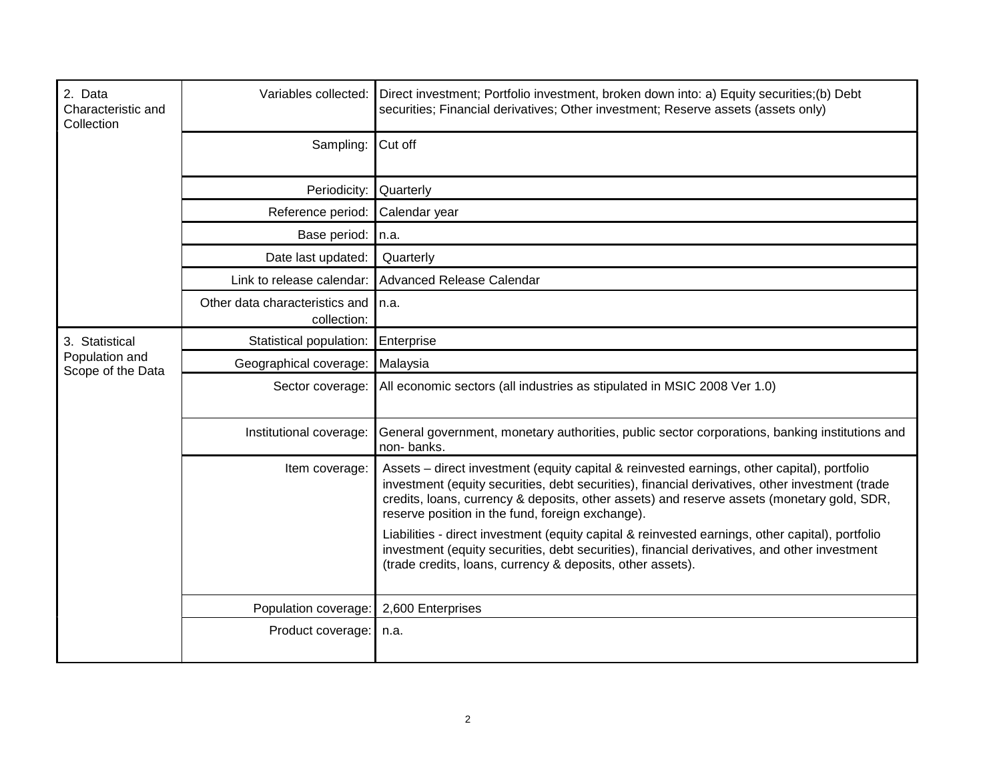| 2. Data<br>Characteristic and<br>Collection | Variables collected:                          | Direct investment; Portfolio investment, broken down into: a) Equity securities;(b) Debt<br>securities; Financial derivatives; Other investment; Reserve assets (assets only)                                                                                                                                                                    |
|---------------------------------------------|-----------------------------------------------|--------------------------------------------------------------------------------------------------------------------------------------------------------------------------------------------------------------------------------------------------------------------------------------------------------------------------------------------------|
|                                             | Sampling:                                     | Cut off                                                                                                                                                                                                                                                                                                                                          |
|                                             | Periodicity:                                  | Quarterly                                                                                                                                                                                                                                                                                                                                        |
|                                             | Reference period:                             | Calendar year                                                                                                                                                                                                                                                                                                                                    |
|                                             | Base period:                                  | In.a.                                                                                                                                                                                                                                                                                                                                            |
|                                             | Date last updated:                            | Quarterly                                                                                                                                                                                                                                                                                                                                        |
|                                             | Link to release calendar:                     | Advanced Release Calendar                                                                                                                                                                                                                                                                                                                        |
|                                             | Other data characteristics and<br>collection: | In.a.                                                                                                                                                                                                                                                                                                                                            |
| 3. Statistical                              | Statistical population:                       | Enterprise                                                                                                                                                                                                                                                                                                                                       |
| Population and<br>Scope of the Data         | Geographical coverage:                        | Malaysia                                                                                                                                                                                                                                                                                                                                         |
|                                             | Sector coverage:                              | All economic sectors (all industries as stipulated in MSIC 2008 Ver 1.0)                                                                                                                                                                                                                                                                         |
|                                             | Institutional coverage:                       | General government, monetary authorities, public sector corporations, banking institutions and<br>non-banks.                                                                                                                                                                                                                                     |
|                                             | Item coverage:                                | Assets - direct investment (equity capital & reinvested earnings, other capital), portfolio<br>investment (equity securities, debt securities), financial derivatives, other investment (trade<br>credits, loans, currency & deposits, other assets) and reserve assets (monetary gold, SDR,<br>reserve position in the fund, foreign exchange). |
|                                             |                                               | Liabilities - direct investment (equity capital & reinvested earnings, other capital), portfolio<br>investment (equity securities, debt securities), financial derivatives, and other investment<br>(trade credits, loans, currency & deposits, other assets).                                                                                   |
|                                             | Population coverage:   2,600 Enterprises      |                                                                                                                                                                                                                                                                                                                                                  |
|                                             | Product coverage:                             | n.a.                                                                                                                                                                                                                                                                                                                                             |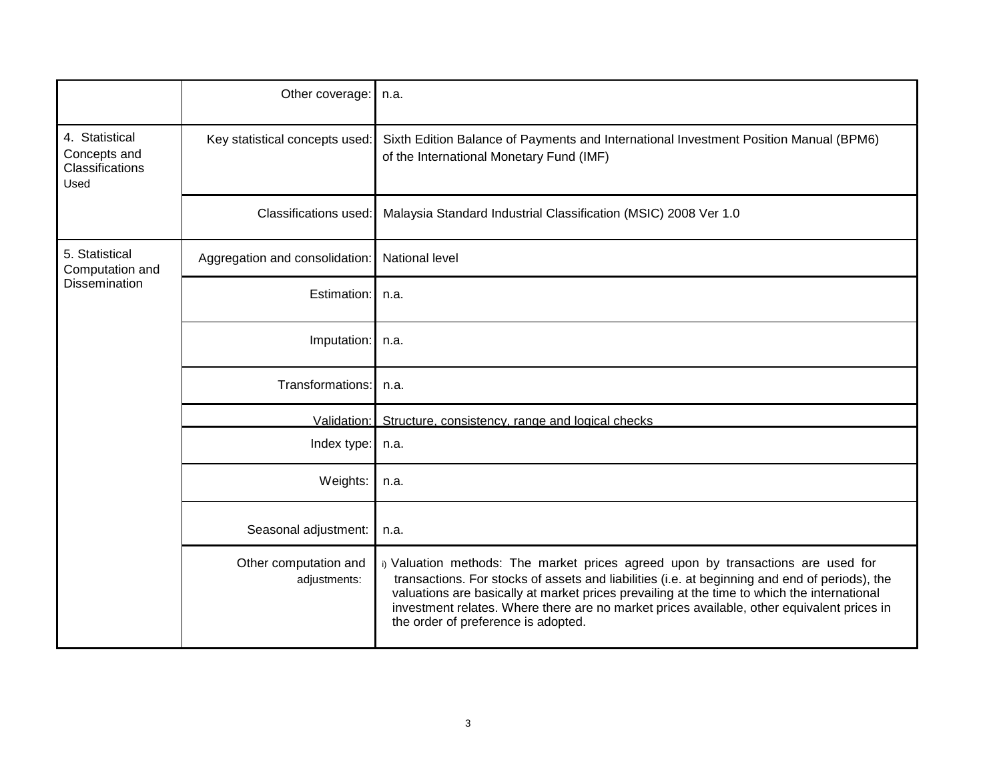|                                                           | Other coverage:                       | n.a.                                                                                                                                                                                                                                                                                                                                                                                                                   |
|-----------------------------------------------------------|---------------------------------------|------------------------------------------------------------------------------------------------------------------------------------------------------------------------------------------------------------------------------------------------------------------------------------------------------------------------------------------------------------------------------------------------------------------------|
| 4. Statistical<br>Concepts and<br>Classifications<br>Used | Key statistical concepts used:        | Sixth Edition Balance of Payments and International Investment Position Manual (BPM6)<br>of the International Monetary Fund (IMF)                                                                                                                                                                                                                                                                                      |
|                                                           | Classifications used:                 | Malaysia Standard Industrial Classification (MSIC) 2008 Ver 1.0                                                                                                                                                                                                                                                                                                                                                        |
| 5. Statistical<br>Computation and<br>Dissemination        | Aggregation and consolidation:        | <b>National level</b>                                                                                                                                                                                                                                                                                                                                                                                                  |
|                                                           | Estimation:                           | n.a.                                                                                                                                                                                                                                                                                                                                                                                                                   |
|                                                           | Imputation:                           | n.a.                                                                                                                                                                                                                                                                                                                                                                                                                   |
|                                                           | Transformations:                      | n.a.                                                                                                                                                                                                                                                                                                                                                                                                                   |
|                                                           | Validation:                           | Structure, consistency, range and logical checks                                                                                                                                                                                                                                                                                                                                                                       |
|                                                           | Index type:                           | n.a.                                                                                                                                                                                                                                                                                                                                                                                                                   |
|                                                           | Weights:                              | n.a.                                                                                                                                                                                                                                                                                                                                                                                                                   |
|                                                           | Seasonal adjustment:                  | n.a.                                                                                                                                                                                                                                                                                                                                                                                                                   |
|                                                           | Other computation and<br>adjustments: | i) Valuation methods: The market prices agreed upon by transactions are used for<br>transactions. For stocks of assets and liabilities (i.e. at beginning and end of periods), the<br>valuations are basically at market prices prevailing at the time to which the international<br>investment relates. Where there are no market prices available, other equivalent prices in<br>the order of preference is adopted. |